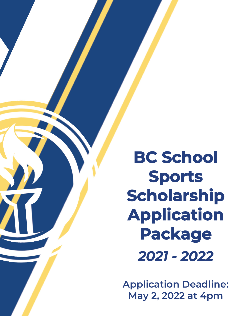**BC School Sports Scholarship Application Package** *2021 - 2022*

**Application Deadline: May 2, 2022 at 4pm**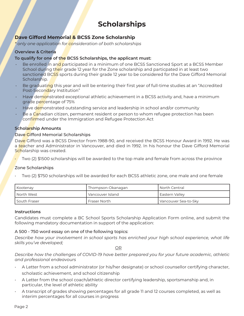# **Scholarships**

# **Dave Gifford Memorial & BCSS Zone Scholarship**

*\* only one application for consideration of both scholarships*

# **Overview & Criteria**

# **To qualify for one of the BCSS Scholarships, the applicant must:**

- Be enrolled in and participated in a minimum of one BCSS Sanctioned Sport at a BCSS Member School during their grade 12 year for the Zone scholarship and particpated in at least two sanctioned BCSS sports during their grade 12 year to be considered for the Dave Gifford Memorial Scholarship.
- Be graduating this year and will be entering their first year of full-time studies at an "Accredited Post-Secondary Institution"
- Have demonstrated exceptional athletic achievement in a BCSS activity and, have a minimum grade percentage of 75%
- Have demonstrated outstanding service and leadership in school and/or community
- Be a Canadian citizen, permanent resident or person to whom refugee protection has been confirmed under the Immigration and Refugee Protection Act

# **Scholarship Amounts**

# Dave Gifford Memorial Scholarships

Dave Gifford was a BCSS Director from 1988-90, and received the BCSS Honour Award in 1992. He was a teacher and Administrator in Vancouver, and died in 1992. In his honour the Dave Gifford Memorial Scholarship was created.

• Two (2) \$1500 scholarships will be awarded to the top male and female from across the province

# Zone Scholarships

• Two (2) \$750 scholarships will be awarded for each BCSS athletic zone, one male and one female

| Kootenay       | Thompson-Okanagan | l North Central      |
|----------------|-------------------|----------------------|
| I North West   | Vancouver Island  | Eastern Valley       |
| I South Fraser | Fraser North      | Vancouver Sea-to-Sky |

## **Instructions**

Candidates must complete a BC School Sports Scholarship Application Form online, and submit the following mandatory documentation in support of the application:

## A 500 - 750 word essay on one of the following topics:

*Describe how your involvement in school sports has enriched your high school experience, what life skills you've developed;*

<u>OR Starting and the starting of the starting of the starting of the starting of the starting of the starting of the starting of the starting of the starting of the starting of the starting of the starting of the starting </u>

*Describe how the challenges of COVID-19 have better prepared you for your future academic, athletic and professional endeavours*

- A Letter from a school administrator (or his/her designate) or school counsellor certifying character, scholastic achievement, and school citizenship
- A Letter from the school coach/athletic director certifying leadership, sportsmanship and, in particular, the level of athletic ability
- A transcript of grades showing percentages for all grade 11 and 12 courses completed, as well as interim percentages for all courses in progress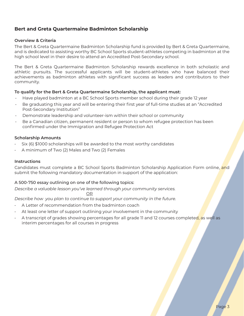# **Bert and Greta Quartermaine Badminton Scholarship**

#### **Overview & Criteria**

The Bert & Greta Quartermaine Badminton Scholarship fund is provided by Bert & Greta Quartermaine, and is dedicated to assisting worthy BC School Sports student-athletes competing in badminton at the high school level in their desire to attend an Accredited Post-Secondary school.

The Bert & Greta Quartermaine Badminton Scholarship rewards excellence in both scholastic and athletic pursuits. The successful applicants will be student-athletes who have balanced their achievements as badminton athletes with significant success as leaders and contributors to their community.

#### **To qualify for the Bert & Greta Quartermaine Scholarship, the applicant must:**

- Have played badminton at a BC School Sports member school during their grade 12 year
- Be graduating this year and will be entering their first year of full-time studies at an "Accredited Post-Secondary Institution"
- Demonstrate leadership and volunteer-ism within their school or community
- Be a Canadian citizen, permanent resident or person to whom refugee protection has been confirmed under the Immigration and Refugee Protection Act

#### **Scholarship Amounts**

- Six (6) \$1000 scholarships will be awarded to the most worthy candidates
- A minimum of Two (2) Males and Two (2) Females

#### **Instructions**

Candidates must complete a BC School Sports Badminton Scholarship Application Form online, and submit the following mandatory documentation in support of the application:

## A 500-750 essay outlining on one of the following topics:

<u>OR Starting and the Starting OR Starting</u>

*Describe a valuable lesson you've learned through your community services.*

*Describe how you plan to continue to support your community in the future.* 

- A Letter of recommendation from the badminton coach
- At least one letter of support outlining your involvement in the community
- A transcript of grades showing percentages for all grade 11 and 12 courses completed, as well as interim percentages for all courses in progress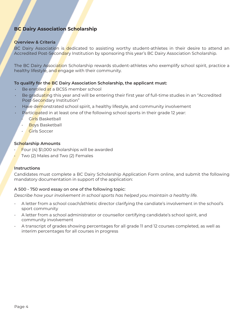# **BC Dairy Association Scholarship**

## **Overview & Criteria**

BC Dairy Association is dedicated to assisting worthy student-athletes in their desire to attend an Accredited Post-Secondary Institution by sponsoring this year's BC Dairy Association Scholarship.

The BC Dairy Association Scholarship rewards student-athletes who exemplify school spirit, practice a healthy lifestyle, and engage with their community.

#### **To qualify for the BC Dairy Association Scholarship, the applicant must:**

- Be enrolled at a BCSS member school
- Be graduating this year and will be entering their first year of full-time studies in an "Accredited Post-Secondary Institution"
- Have demonstrated school spirit, a healthy lifestyle, and community involvement
- Participated in at least one of the following school sports in their grade 12 year:
	- Girls Basketball
	- **Boys Basketball**
	- Girls Soccer

#### **Scholarship Amounts**

- Four (4) \$1,000 scholarships will be awarded
- Two (2) Males and Two (2) Females

#### **Instructions**

Candidates must complete a BC Dairy Scholarship Application Form online, and submit the following mandatory documentation in support of the application:

#### A 500 - 750 word essay on one of the following topic:

*Describe how your involvement in school sports has helped you maintain a healthy life.*

- A letter from a school coach/athletic director clarifying the candiate's involvement in the school's sport community
- A letter from a school administrator or counsellor certifying candidate's school spirit, and community involvement
- A transcript of grades showing percentages for all grade 11 and 12 courses completed, as well as interim percentages for all courses in progress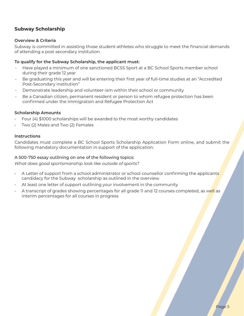# **Subway Scholarship**

# **Overview & Criteria**

Subway is committed in assisting those student-athletes who struggle to meet the financial demands of attending a post secondary institution.

# **To qualify for the Subway Scholarship, the applicant must:**

- Have played a minimum of one sanctioned BCSS Sport at a BC School Sports member school during their grade 12 year
- Be graduating this year and will be entering their first year of full-time studies at an "Accredited Post-Secondary institution"
- Demonstrate leadership and volunteer-ism within their school or community
- Be a Canadian citizen, permanent resident or person to whom refugee protection has been confirmed under the Immigration and Refugee Protection Act

## **Scholarship Amounts**

- Four (4) \$1000 scholarships will be awarded to the most worthy candidates
- Two (2) Males and Two (2) Females

## **Instructions**

Candidates must complete a BC School Sports Scholarship Application Form online, and submit the following mandatory documentation in support of the application:

## A 500-750 essay outlining on one of the following topics:

*What does good sportsmanship look like outside of sports?*

- A Letter of support from a school administrator or school counsellor confirming the applicants candidacy for the Subway scholarship as outlined in the overview.
- At least one letter of support outlining your involvement in the community
- A transcript of grades showing percentages for all grade 11 and 12 courses completed, as well as interim percentages for all courses in progress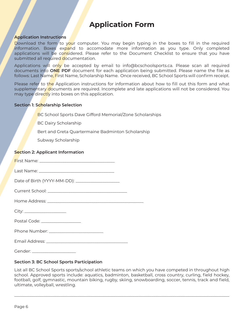# **Application Form**

#### **Application Instructions**

Download the form to your computer. You may begin typing in the boxes to fill in the required information. Boxes expand to accomodate more information as you type. Only completed applications will be c<mark>ons</mark>idered. Please refer to the Document Checklist to ensure that you have submitted all required documentation.

Applications will only be accepted by email to info@bcschoolsports.ca. Please scan all required documents into **ONE PDF** document for each application being submitted. Please name the file as follows: Last Name, First Name, Scholarship Name. Once received, BC School Sports will confirm receipt.

Please refer to the Application instructions for information about how to fill out this form and what supplementary documents are required. Incomplete and late applications will not be considered. You may type directly into boxes on this application.

#### **Section 1: Scholarship Selection**

BC School Sports Dave Gifford Memorial/Zone Scholarships

BC Dairy Scholarship

Bert and Greta Quartermaine Badminton Scholarship

Subway Scholarship

#### **Section 2: Applicant Information**

First Name: \_\_\_\_\_\_\_\_\_\_\_\_\_\_\_\_\_\_\_\_\_\_\_\_\_\_\_\_\_\_\_\_\_\_\_\_ Last Name: \_\_\_\_\_\_\_\_\_\_\_\_\_\_\_\_\_\_\_\_\_\_\_\_\_\_\_\_\_\_\_\_\_\_\_\_ Date of Birth (YYYY-MM-DD): \_\_\_\_\_\_\_\_\_\_\_\_\_\_\_\_\_\_\_\_\_ Current School: \_\_\_\_\_\_\_\_\_\_\_\_\_\_\_\_\_\_\_\_\_\_\_\_\_\_\_\_\_\_\_\_\_\_\_\_\_\_ Home Address: \_\_\_\_\_\_\_\_ City: \_\_\_\_\_\_\_\_\_\_\_\_\_\_\_\_\_\_\_\_ Postal Code: \_\_\_\_\_\_\_\_\_\_\_\_\_\_\_\_\_\_\_

Phone Number: \_\_\_\_\_\_\_\_\_\_\_\_\_\_\_\_\_\_\_\_\_\_\_\_\_\_

Email Address: \_\_\_\_\_\_\_\_\_\_\_\_\_\_\_\_\_\_\_\_\_\_\_\_\_\_\_\_\_\_\_\_\_\_\_\_\_\_\_

Gender:  $\Box$ 

## **Section 3: BC School Sports Participation**

List all BC School Sports sports/school athletic teams on which you have competed in throughout high school. Approved sports include: aquatics, badminton, basketball, cross country, curling, field hockey, football, golf, gymnastic, mountain biking, rugby, skiing, snowboarding, soccer, tennis, track and field, ultimate, volleyball, wrestling.

 $\_$  ,  $\_$  ,  $\_$  ,  $\_$  ,  $\_$  ,  $\_$  ,  $\_$  ,  $\_$  ,  $\_$  ,  $\_$  ,  $\_$  ,  $\_$  ,  $\_$  ,  $\_$  ,  $\_$  ,  $\_$  ,  $\_$  ,  $\_$  ,  $\_$  ,  $\_$  ,  $\_$  ,  $\_$  ,  $\_$  ,  $\_$  ,  $\_$  ,  $\_$  ,  $\_$  ,  $\_$  ,  $\_$  ,  $\_$  ,  $\_$  ,  $\_$  ,  $\_$  ,  $\_$  ,  $\_$  ,  $\_$  ,  $\_$  ,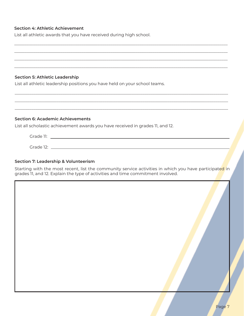## **Section 4: Athletic Achievement**

List all athletic awards that you have received during high school.

#### **Section 5: Athletic Leadership**

List all athletic leadership positions you have held on your school teams.

#### **Section 6: Academic Achievements**

List all scholastic achievement awards you have received in grades 11, and 12.

| Grade 11:                   |  |  |
|-----------------------------|--|--|
|                             |  |  |
| Grade 12:<br>$-1$<br>$\sim$ |  |  |

## **Section 7: Leadership & Volunteerism**

Starting with the most recent, list the community service activities in which you have participated in grades 11, and 12. Explain the type of activities and time commitment involved.

\_\_\_\_\_\_\_\_\_\_\_\_\_\_\_\_\_\_\_\_\_\_\_\_\_\_\_\_\_\_\_\_\_\_\_\_\_\_\_\_\_\_\_\_\_\_\_\_\_\_\_\_\_\_\_\_\_\_\_\_\_\_\_\_\_\_\_\_\_\_\_\_\_\_\_\_\_\_\_\_\_\_\_\_\_\_\_\_\_\_\_\_\_\_\_\_\_\_\_\_\_\_ \_\_\_\_\_\_\_\_\_\_\_\_\_\_\_\_\_\_\_\_\_\_\_\_\_\_\_\_\_\_\_\_\_\_\_\_\_\_\_\_\_\_\_\_\_\_\_\_\_\_\_\_\_\_\_\_\_\_\_\_\_\_\_\_\_\_\_\_\_\_\_\_\_\_\_\_\_\_\_\_\_\_\_\_\_\_\_\_\_\_\_\_\_\_\_\_\_\_\_\_\_\_ \_\_\_\_\_\_\_\_\_\_\_\_\_\_\_\_\_\_\_\_\_\_\_\_\_\_\_\_\_\_\_\_\_\_\_\_\_\_\_\_\_\_\_\_\_\_\_\_\_\_\_\_\_\_\_\_\_\_\_\_\_\_\_\_\_\_\_\_\_\_\_\_\_\_\_\_\_\_\_\_\_\_\_\_\_\_\_\_\_\_\_\_\_\_\_\_\_\_\_\_\_\_ \_\_\_\_\_\_\_\_\_\_\_\_\_\_\_\_\_\_\_\_\_\_\_\_\_\_\_\_\_\_\_\_\_\_\_\_\_\_\_\_\_\_\_\_\_\_\_\_\_\_\_\_\_\_\_\_\_\_\_\_\_\_\_\_\_\_\_\_\_\_\_\_\_\_\_\_\_\_\_\_\_\_\_\_\_\_\_\_\_\_\_\_\_\_\_\_\_\_\_\_\_\_

 $\_$  , and the set of the set of the set of the set of the set of the set of the set of the set of the set of the set of the set of the set of the set of the set of the set of the set of the set of the set of the set of th  $\_$  , and the set of the set of the set of the set of the set of the set of the set of the set of the set of the set of the set of the set of the set of the set of the set of the set of the set of the set of the set of th  $\_$  , and the set of the set of the set of the set of the set of the set of the set of the set of the set of the set of the set of the set of the set of the set of the set of the set of the set of the set of the set of th

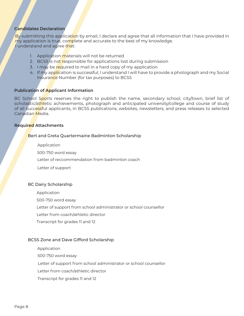# **Candidates Declaration**

By submitting this application by email, I declare and agree that all information that I have provided in my application is true, complete and accurate to the best of my knowledge. I understand and agree that:

- 1. Application materials will not be returned
- 2. BCSS is not responsible for applications lost during submission
- 3. I may be required to mail in a hard copy of my application
- 4. If my application is successful, I understand I will have to provide a photograph and my Social Insurance Number (for tax purposes) to BCSS

#### **Publication of Applicant Information**

BC School Sports reserves the right to publish the name, secondary school, city/town, brief list of scholastic/athletic achievements, photograph and anticipated university/college and course of study of all successful applicants, in BCSS publications, websites, newsletters, and press releases to selected Canadian Media.

#### **Required Attachments**

#### Bert and Greta Quartermaine Badminton Scholarship

Application Letter of reccommendation from badminton coach Letter of support 500-750 word essay

#### BC Dairy Scholarship

Application

500-750 word essay

Letter of support from school administrator or school counsellor

Letter from coach/athletic director

Transcript for grades 11 and 12

#### BCSS Zone and Dave Gifford Scholarship

- Application
- 500-750 word essay

Letter of support from school administrator or school counsellor

Letter from coach/athletic director

Transcript for grades 11 and 12